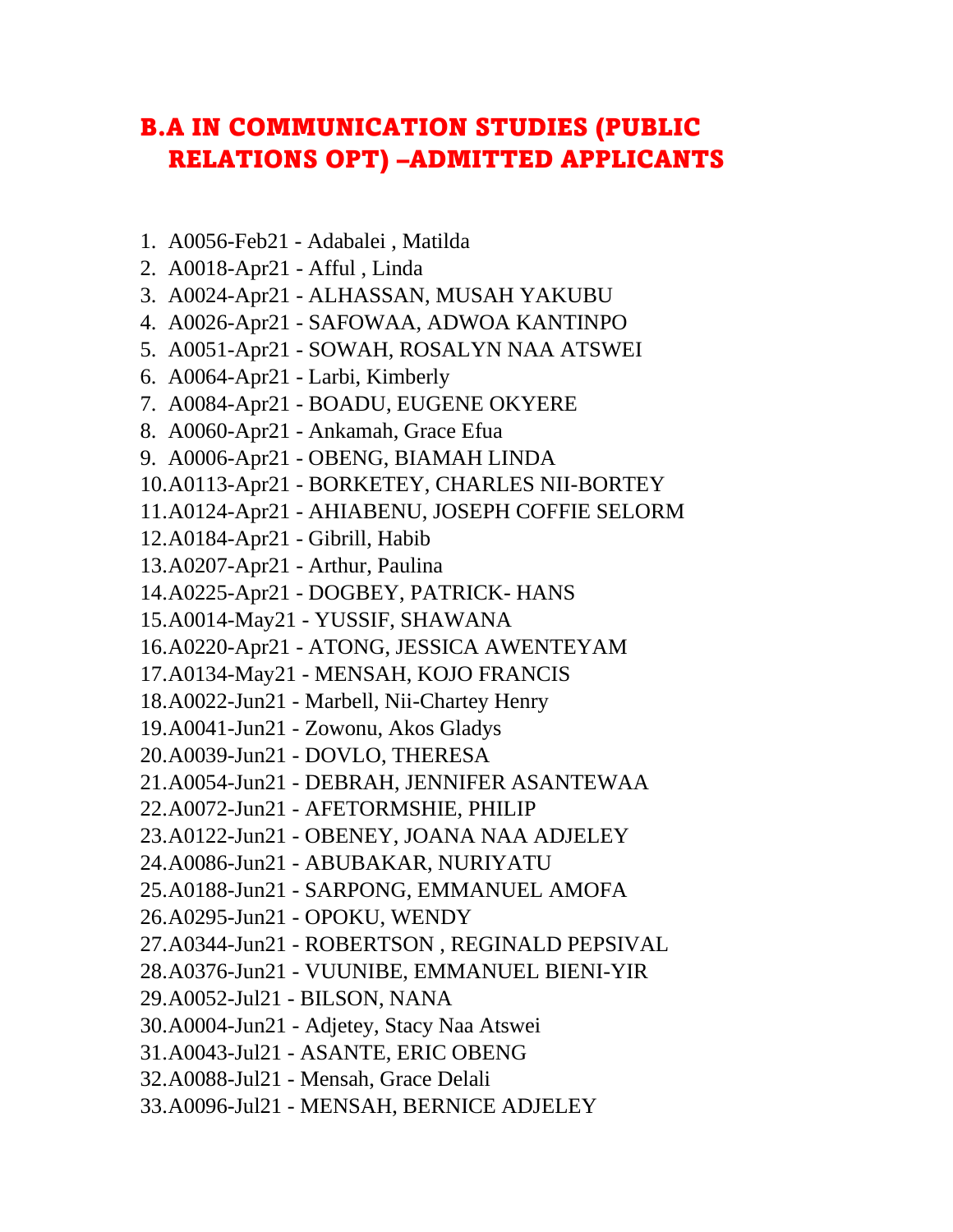## B.A IN COMMUNICATION STUDIES (PUBLIC RELATIONS OPT) –ADMITTED APPLICANTS

- 1. A0056-Feb21 Adabalei , Matilda
- 2. A0018-Apr21 Afful , Linda
- 3. A0024-Apr21 ALHASSAN, MUSAH YAKUBU
- 4. A0026-Apr21 SAFOWAA, ADWOA KANTINPO
- 5. A0051-Apr21 SOWAH, ROSALYN NAA ATSWEI
- 6. A0064-Apr21 Larbi, Kimberly
- 7. A0084-Apr21 BOADU, EUGENE OKYERE
- 8. A0060-Apr21 Ankamah, Grace Efua
- 9. A0006-Apr21 OBENG, BIAMAH LINDA
- 10.A0113-Apr21 BORKETEY, CHARLES NII-BORTEY
- 11.A0124-Apr21 AHIABENU, JOSEPH COFFIE SELORM
- 12.A0184-Apr21 Gibrill, Habib
- 13.A0207-Apr21 Arthur, Paulina
- 14.A0225-Apr21 DOGBEY, PATRICK- HANS
- 15.A0014-May21 YUSSIF, SHAWANA
- 16.A0220-Apr21 ATONG, JESSICA AWENTEYAM
- 17.A0134-May21 MENSAH, KOJO FRANCIS
- 18.A0022-Jun21 Marbell, Nii-Chartey Henry
- 19.A0041-Jun21 Zowonu, Akos Gladys
- 20.A0039-Jun21 DOVLO, THERESA
- 21.A0054-Jun21 DEBRAH, JENNIFER ASANTEWAA
- 22.A0072-Jun21 AFETORMSHIE, PHILIP
- 23.A0122-Jun21 OBENEY, JOANA NAA ADJELEY
- 24.A0086-Jun21 ABUBAKAR, NURIYATU
- 25.A0188-Jun21 SARPONG, EMMANUEL AMOFA
- 26.A0295-Jun21 OPOKU, WENDY
- 27.A0344-Jun21 ROBERTSON , REGINALD PEPSIVAL
- 28.A0376-Jun21 VUUNIBE, EMMANUEL BIENI-YIR
- 29.A0052-Jul21 BILSON, NANA
- 30.A0004-Jun21 Adjetey, Stacy Naa Atswei
- 31.A0043-Jul21 ASANTE, ERIC OBENG
- 32.A0088-Jul21 Mensah, Grace Delali
- 33.A0096-Jul21 MENSAH, BERNICE ADJELEY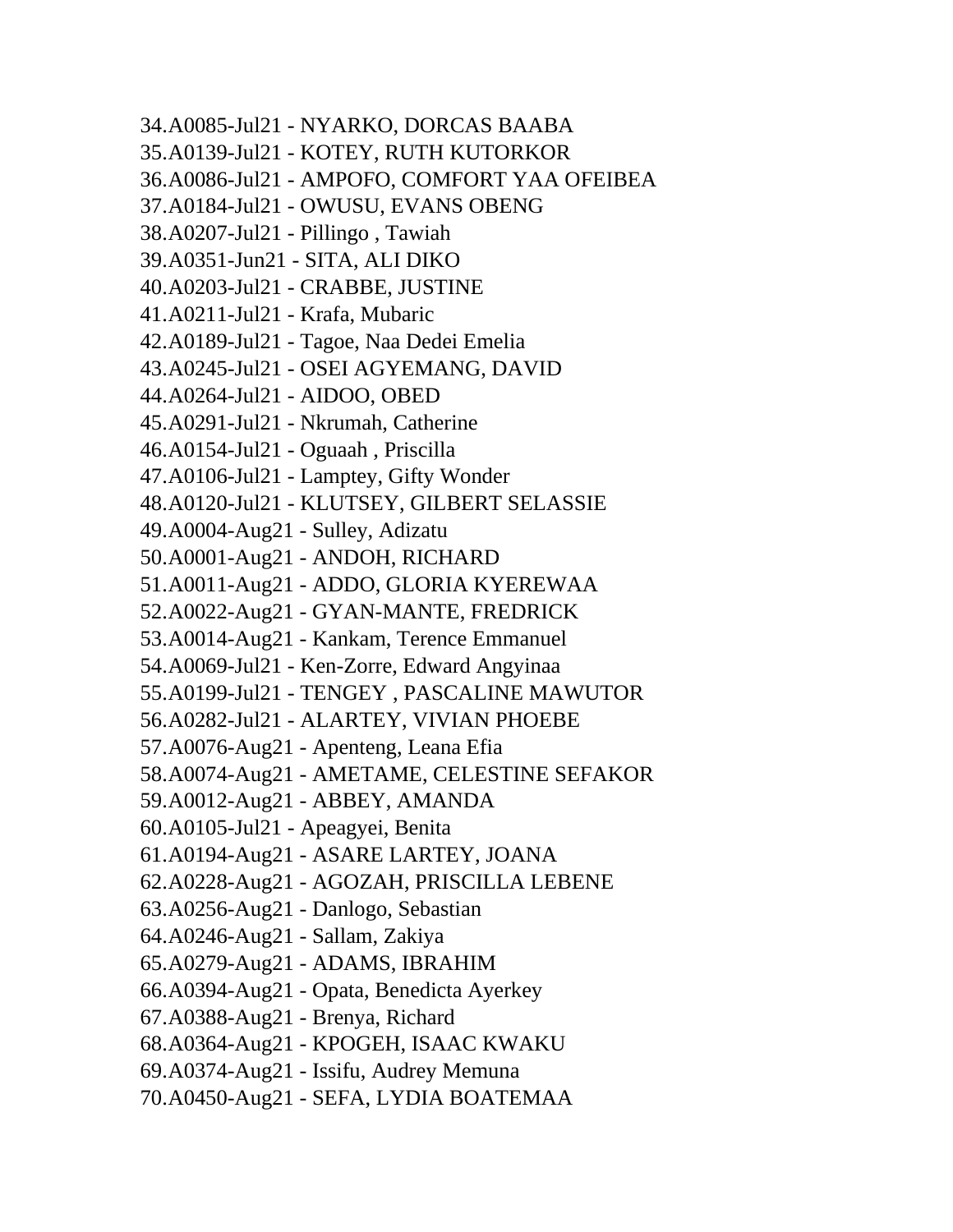34.A0085-Jul21 - NYARKO, DORCAS BAABA 35.A0139-Jul21 - KOTEY, RUTH KUTORKOR 36.A0086-Jul21 - AMPOFO, COMFORT YAA OFEIBEA 37.A0184-Jul21 - OWUSU, EVANS OBENG 38.A0207-Jul21 - Pillingo , Tawiah 39.A0351-Jun21 - SITA, ALI DIKO 40.A0203-Jul21 - CRABBE, JUSTINE 41.A0211-Jul21 - Krafa, Mubaric 42.A0189-Jul21 - Tagoe, Naa Dedei Emelia 43.A0245-Jul21 - OSEI AGYEMANG, DAVID 44.A0264-Jul21 - AIDOO, OBED 45.A0291-Jul21 - Nkrumah, Catherine 46.A0154-Jul21 - Oguaah , Priscilla 47.A0106-Jul21 - Lamptey, Gifty Wonder 48.A0120-Jul21 - KLUTSEY, GILBERT SELASSIE 49.A0004-Aug21 - Sulley, Adizatu 50.A0001-Aug21 - ANDOH, RICHARD 51.A0011-Aug21 - ADDO, GLORIA KYEREWAA 52.A0022-Aug21 - GYAN-MANTE, FREDRICK 53.A0014-Aug21 - Kankam, Terence Emmanuel 54.A0069-Jul21 - Ken-Zorre, Edward Angyinaa 55.A0199-Jul21 - TENGEY , PASCALINE MAWUTOR 56.A0282-Jul21 - ALARTEY, VIVIAN PHOEBE 57.A0076-Aug21 - Apenteng, Leana Efia 58.A0074-Aug21 - AMETAME, CELESTINE SEFAKOR 59.A0012-Aug21 - ABBEY, AMANDA 60.A0105-Jul21 - Apeagyei, Benita 61.A0194-Aug21 - ASARE LARTEY, JOANA 62.A0228-Aug21 - AGOZAH, PRISCILLA LEBENE 63.A0256-Aug21 - Danlogo, Sebastian 64.A0246-Aug21 - Sallam, Zakiya 65.A0279-Aug21 - ADAMS, IBRAHIM 66.A0394-Aug21 - Opata, Benedicta Ayerkey 67.A0388-Aug21 - Brenya, Richard 68.A0364-Aug21 - KPOGEH, ISAAC KWAKU 69.A0374-Aug21 - Issifu, Audrey Memuna 70.A0450-Aug21 - SEFA, LYDIA BOATEMAA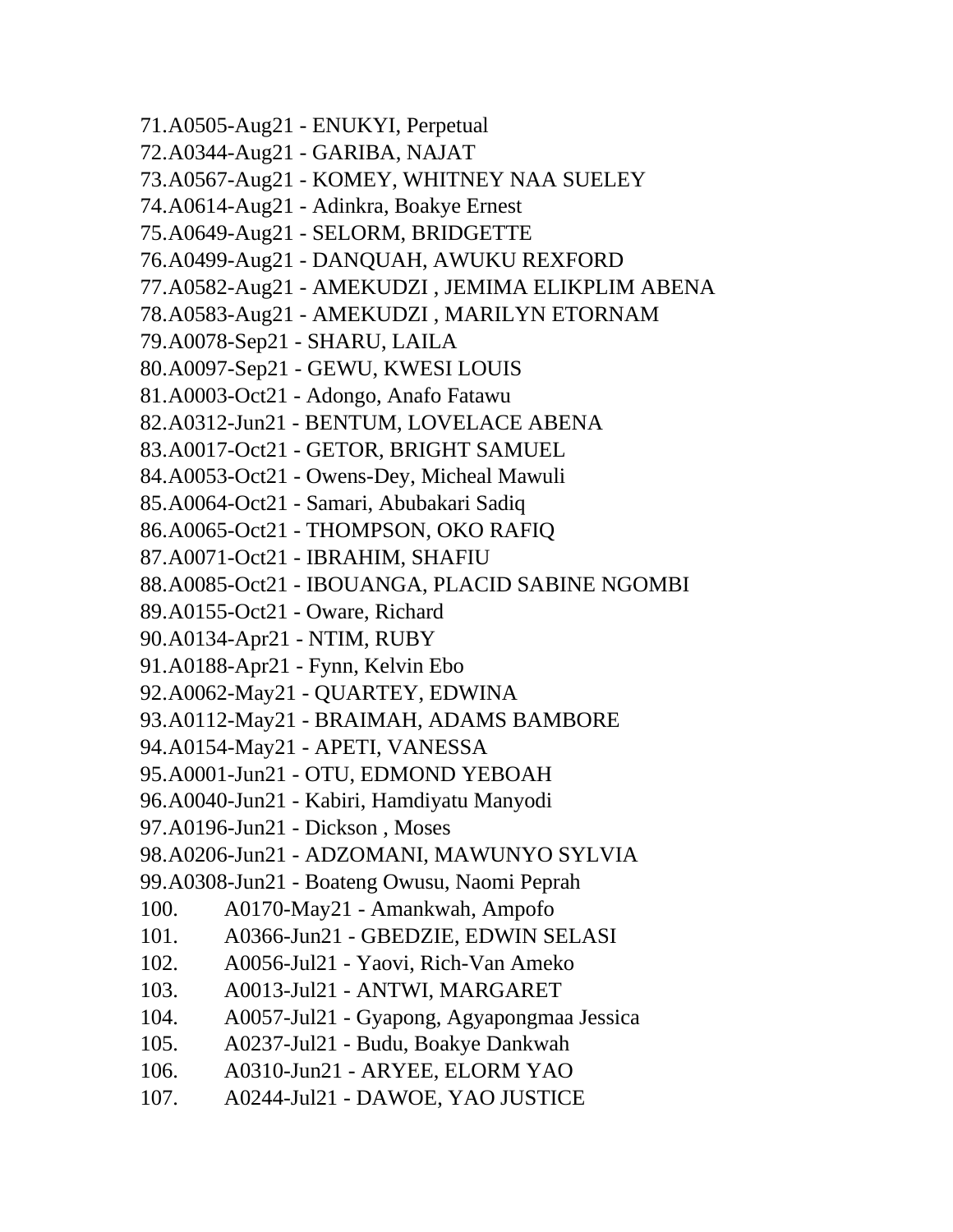71.A0505-Aug21 - ENUKYI, Perpetual 72.A0344-Aug21 - GARIBA, NAJAT 73.A0567-Aug21 - KOMEY, WHITNEY NAA SUELEY 74.A0614-Aug21 - Adinkra, Boakye Ernest 75.A0649-Aug21 - SELORM, BRIDGETTE 76.A0499-Aug21 - DANQUAH, AWUKU REXFORD 77.A0582-Aug21 - AMEKUDZI , JEMIMA ELIKPLIM ABENA 78.A0583-Aug21 - AMEKUDZI , MARILYN ETORNAM 79.A0078-Sep21 - SHARU, LAILA 80.A0097-Sep21 - GEWU, KWESI LOUIS 81.A0003-Oct21 - Adongo, Anafo Fatawu 82.A0312-Jun21 - BENTUM, LOVELACE ABENA 83.A0017-Oct21 - GETOR, BRIGHT SAMUEL 84.A0053-Oct21 - Owens-Dey, Micheal Mawuli 85.A0064-Oct21 - Samari, Abubakari Sadiq 86.A0065-Oct21 - THOMPSON, OKO RAFIQ 87.A0071-Oct21 - IBRAHIM, SHAFIU 88.A0085-Oct21 - IBOUANGA, PLACID SABINE NGOMBI 89.A0155-Oct21 - Oware, Richard 90.A0134-Apr21 - NTIM, RUBY 91.A0188-Apr21 - Fynn, Kelvin Ebo 92.A0062-May21 - QUARTEY, EDWINA 93.A0112-May21 - BRAIMAH, ADAMS BAMBORE 94.A0154-May21 - APETI, VANESSA 95.A0001-Jun21 - OTU, EDMOND YEBOAH 96.A0040-Jun21 - Kabiri, Hamdiyatu Manyodi 97.A0196-Jun21 - Dickson , Moses 98.A0206-Jun21 - ADZOMANI, MAWUNYO SYLVIA 99.A0308-Jun21 - Boateng Owusu, Naomi Peprah 100. A0170-May21 - Amankwah, Ampofo 101. A0366-Jun21 - GBEDZIE, EDWIN SELASI 102. A0056-Jul21 - Yaovi, Rich-Van Ameko 103. A0013-Jul21 - ANTWI, MARGARET 104. A0057-Jul21 - Gyapong, Agyapongmaa Jessica 105. A0237-Jul21 - Budu, Boakye Dankwah 106. A0310-Jun21 - ARYEE, ELORM YAO 107. A0244-Jul21 - DAWOE, YAO JUSTICE